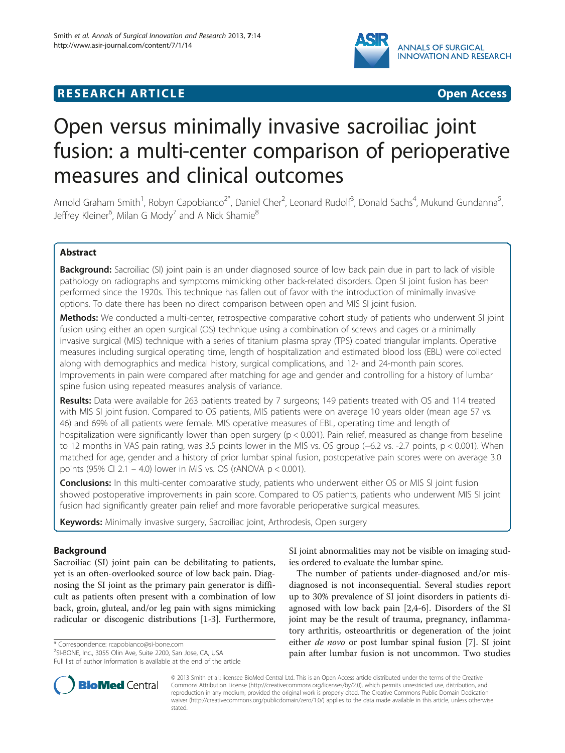

## **RESEARCH ARTICLE Example 2018 12:00 Department 2018 12:00 Department 2018 12:00 Department 2018 12:00 Department 2018 12:00 Department 2018 12:00 Department 2018 12:00 Department 2018 12:00 Department 2018 12:00 Departm**



# Open versus minimally invasive sacroiliac joint fusion: a multi-center comparison of perioperative measures and clinical outcomes

Arnold Graham Smith<sup>1</sup>, Robyn Capobianco<sup>2\*</sup>, Daniel Cher<sup>2</sup>, Leonard Rudolf<sup>3</sup>, Donald Sachs<sup>4</sup>, Mukund Gundanna<sup>5</sup> , Jeffrey Kleiner<sup>6</sup>, Milan G Mody<sup>7</sup> and A Nick Shamie<sup>8</sup>

## Abstract

Background: Sacroiliac (SI) joint pain is an under diagnosed source of low back pain due in part to lack of visible pathology on radiographs and symptoms mimicking other back-related disorders. Open SI joint fusion has been performed since the 1920s. This technique has fallen out of favor with the introduction of minimally invasive options. To date there has been no direct comparison between open and MIS SI joint fusion.

Methods: We conducted a multi-center, retrospective comparative cohort study of patients who underwent SI joint fusion using either an open surgical (OS) technique using a combination of screws and cages or a minimally invasive surgical (MIS) technique with a series of titanium plasma spray (TPS) coated triangular implants. Operative measures including surgical operating time, length of hospitalization and estimated blood loss (EBL) were collected along with demographics and medical history, surgical complications, and 12- and 24-month pain scores. Improvements in pain were compared after matching for age and gender and controlling for a history of lumbar spine fusion using repeated measures analysis of variance.

Results: Data were available for 263 patients treated by 7 surgeons; 149 patients treated with OS and 114 treated with MIS SI joint fusion. Compared to OS patients, MIS patients were on average 10 years older (mean age 57 vs. 46) and 69% of all patients were female. MIS operative measures of EBL, operating time and length of hospitalization were significantly lower than open surgery (p < 0.001). Pain relief, measured as change from baseline to 12 months in VAS pain rating, was 3.5 points lower in the MIS vs. OS group (−6.2 vs. -2.7 points, p < 0.001). When matched for age, gender and a history of prior lumbar spinal fusion, postoperative pain scores were on average 3.0 points (95% CI 2.1 – 4.0) lower in MIS vs. OS (rANOVA p < 0.001).

**Conclusions:** In this multi-center comparative study, patients who underwent either OS or MIS SI joint fusion showed postoperative improvements in pain score. Compared to OS patients, patients who underwent MIS SI joint fusion had significantly greater pain relief and more favorable perioperative surgical measures.

Keywords: Minimally invasive surgery, Sacroiliac joint, Arthrodesis, Open surgery

## Background

Sacroiliac (SI) joint pain can be debilitating to patients, yet is an often-overlooked source of low back pain. Diagnosing the SI joint as the primary pain generator is difficult as patients often present with a combination of low back, groin, gluteal, and/or leg pain with signs mimicking radicular or discogenic distributions [\[1](#page-10-0)-[3\]](#page-10-0). Furthermore,

\* Correspondence: [rcapobianco@si-bone.com](mailto:rcapobianco@si-bone.com) <sup>2</sup>

<sup>2</sup>SI-BONE, Inc., 3055 Olin Ave, Suite 2200, San Jose, CA, USA Full list of author information is available at the end of the article SI joint abnormalities may not be visible on imaging studies ordered to evaluate the lumbar spine.

The number of patients under-diagnosed and/or misdiagnosed is not inconsequential. Several studies report up to 30% prevalence of SI joint disorders in patients diagnosed with low back pain [[2,4-6](#page-10-0)]. Disorders of the SI joint may be the result of trauma, pregnancy, inflammatory arthritis, osteoarthritis or degeneration of the joint either de novo or post lumbar spinal fusion [[7\]](#page-10-0). SI joint pain after lumbar fusion is not uncommon. Two studies



© 2013 Smith et al.; licensee BioMed Central Ltd. This is an Open Access article distributed under the terms of the Creative Commons Attribution License [\(http://creativecommons.org/licenses/by/2.0\)](http://creativecommons.org/licenses/by/2.0), which permits unrestricted use, distribution, and reproduction in any medium, provided the original work is properly cited. The Creative Commons Public Domain Dedication waiver [\(http://creativecommons.org/publicdomain/zero/1.0/\)](http://creativecommons.org/publicdomain/zero/1.0/) applies to the data made available in this article, unless otherwise stated.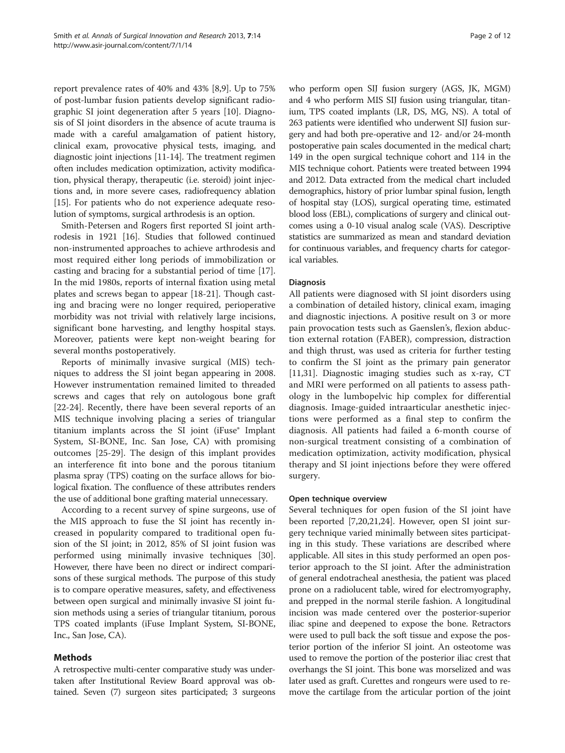report prevalence rates of 40% and 43% [\[8](#page-10-0),[9](#page-10-0)]. Up to 75% of post-lumbar fusion patients develop significant radiographic SI joint degeneration after 5 years [[10\]](#page-10-0). Diagnosis of SI joint disorders in the absence of acute trauma is made with a careful amalgamation of patient history, clinical exam, provocative physical tests, imaging, and diagnostic joint injections [[11-14\]](#page-10-0). The treatment regimen often includes medication optimization, activity modification, physical therapy, therapeutic (i.e. steroid) joint injections and, in more severe cases, radiofrequency ablation [[15](#page-10-0)]. For patients who do not experience adequate resolution of symptoms, surgical arthrodesis is an option.

Smith-Petersen and Rogers first reported SI joint arthrodesis in 1921 [\[16](#page-10-0)]. Studies that followed continued non-instrumented approaches to achieve arthrodesis and most required either long periods of immobilization or casting and bracing for a substantial period of time [\[17](#page-10-0)]. In the mid 1980s, reports of internal fixation using metal plates and screws began to appear [\[18-21](#page-10-0)]. Though casting and bracing were no longer required, perioperative morbidity was not trivial with relatively large incisions, significant bone harvesting, and lengthy hospital stays. Moreover, patients were kept non-weight bearing for several months postoperatively.

Reports of minimally invasive surgical (MIS) techniques to address the SI joint began appearing in 2008. However instrumentation remained limited to threaded screws and cages that rely on autologous bone graft [[22-24](#page-11-0)]. Recently, there have been several reports of an MIS technique involving placing a series of triangular titanium implants across the SI joint (iFuse® Implant System, SI-BONE, Inc. San Jose, CA) with promising outcomes [[25-29](#page-11-0)]. The design of this implant provides an interference fit into bone and the porous titanium plasma spray (TPS) coating on the surface allows for biological fixation. The confluence of these attributes renders the use of additional bone grafting material unnecessary.

According to a recent survey of spine surgeons, use of the MIS approach to fuse the SI joint has recently increased in popularity compared to traditional open fusion of the SI joint; in 2012, 85% of SI joint fusion was performed using minimally invasive techniques [\[30](#page-11-0)]. However, there have been no direct or indirect comparisons of these surgical methods. The purpose of this study is to compare operative measures, safety, and effectiveness between open surgical and minimally invasive SI joint fusion methods using a series of triangular titanium, porous TPS coated implants (iFuse Implant System, SI-BONE, Inc., San Jose, CA).

## Methods

A retrospective multi-center comparative study was undertaken after Institutional Review Board approval was obtained. Seven (7) surgeon sites participated; 3 surgeons who perform open SIJ fusion surgery (AGS, JK, MGM) and 4 who perform MIS SIJ fusion using triangular, titanium, TPS coated implants (LR, DS, MG, NS). A total of 263 patients were identified who underwent SIJ fusion surgery and had both pre-operative and 12- and/or 24-month postoperative pain scales documented in the medical chart; 149 in the open surgical technique cohort and 114 in the MIS technique cohort. Patients were treated between 1994 and 2012. Data extracted from the medical chart included demographics, history of prior lumbar spinal fusion, length of hospital stay (LOS), surgical operating time, estimated blood loss (EBL), complications of surgery and clinical outcomes using a 0-10 visual analog scale (VAS). Descriptive statistics are summarized as mean and standard deviation for continuous variables, and frequency charts for categorical variables.

## **Diagnosis**

All patients were diagnosed with SI joint disorders using a combination of detailed history, clinical exam, imaging and diagnostic injections. A positive result on 3 or more pain provocation tests such as Gaenslen's, flexion abduction external rotation (FABER), compression, distraction and thigh thrust, was used as criteria for further testing to confirm the SI joint as the primary pain generator [[11,](#page-10-0)[31\]](#page-11-0). Diagnostic imaging studies such as x-ray, CT and MRI were performed on all patients to assess pathology in the lumbopelvic hip complex for differential diagnosis. Image-guided intraarticular anesthetic injections were performed as a final step to confirm the diagnosis. All patients had failed a 6-month course of non-surgical treatment consisting of a combination of medication optimization, activity modification, physical therapy and SI joint injections before they were offered surgery.

## Open technique overview

Several techniques for open fusion of the SI joint have been reported [\[7,20,21](#page-10-0)[,24](#page-11-0)]. However, open SI joint surgery technique varied minimally between sites participating in this study. These variations are described where applicable. All sites in this study performed an open posterior approach to the SI joint. After the administration of general endotracheal anesthesia, the patient was placed prone on a radiolucent table, wired for electromyography, and prepped in the normal sterile fashion. A longitudinal incision was made centered over the posterior-superior iliac spine and deepened to expose the bone. Retractors were used to pull back the soft tissue and expose the posterior portion of the inferior SI joint. An osteotome was used to remove the portion of the posterior iliac crest that overhangs the SI joint. This bone was morselized and was later used as graft. Curettes and rongeurs were used to remove the cartilage from the articular portion of the joint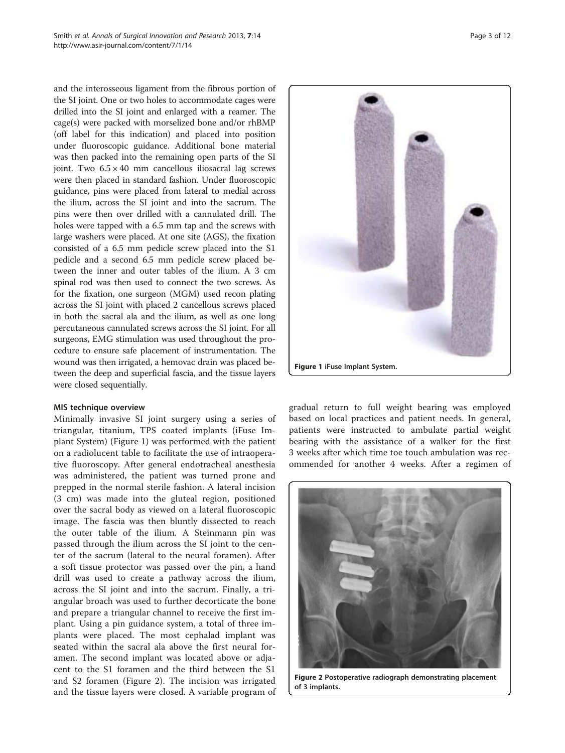and the interosseous ligament from the fibrous portion of the SI joint. One or two holes to accommodate cages were drilled into the SI joint and enlarged with a reamer. The cage(s) were packed with morselized bone and/or rhBMP (off label for this indication) and placed into position under fluoroscopic guidance. Additional bone material was then packed into the remaining open parts of the SI joint. Two  $6.5 \times 40$  mm cancellous iliosacral lag screws were then placed in standard fashion. Under fluoroscopic guidance, pins were placed from lateral to medial across the ilium, across the SI joint and into the sacrum. The pins were then over drilled with a cannulated drill. The holes were tapped with a 6.5 mm tap and the screws with large washers were placed. At one site (AGS), the fixation consisted of a 6.5 mm pedicle screw placed into the S1 pedicle and a second 6.5 mm pedicle screw placed between the inner and outer tables of the ilium. A 3 cm spinal rod was then used to connect the two screws. As for the fixation, one surgeon (MGM) used recon plating across the SI joint with placed 2 cancellous screws placed in both the sacral ala and the ilium, as well as one long percutaneous cannulated screws across the SI joint. For all surgeons, EMG stimulation was used throughout the procedure to ensure safe placement of instrumentation. The wound was then irrigated, a hemovac drain was placed between the deep and superficial fascia, and the tissue layers were closed sequentially.

## MIS technique overview

Minimally invasive SI joint surgery using a series of triangular, titanium, TPS coated implants (iFuse Implant System) (Figure 1) was performed with the patient on a radiolucent table to facilitate the use of intraoperative fluoroscopy. After general endotracheal anesthesia was administered, the patient was turned prone and prepped in the normal sterile fashion. A lateral incision (3 cm) was made into the gluteal region, positioned over the sacral body as viewed on a lateral fluoroscopic image. The fascia was then bluntly dissected to reach the outer table of the ilium. A Steinmann pin was passed through the ilium across the SI joint to the center of the sacrum (lateral to the neural foramen). After a soft tissue protector was passed over the pin, a hand drill was used to create a pathway across the ilium, across the SI joint and into the sacrum. Finally, a triangular broach was used to further decorticate the bone and prepare a triangular channel to receive the first implant. Using a pin guidance system, a total of three implants were placed. The most cephalad implant was seated within the sacral ala above the first neural foramen. The second implant was located above or adjacent to the S1 foramen and the third between the S1 and S2 foramen (Figure 2). The incision was irrigated and the tissue layers were closed. A variable program of



gradual return to full weight bearing was employed based on local practices and patient needs. In general, patients were instructed to ambulate partial weight bearing with the assistance of a walker for the first 3 weeks after which time toe touch ambulation was recommended for another 4 weeks. After a regimen of



Figure 2 Postoperative radiograph demonstrating placement of 3 implants.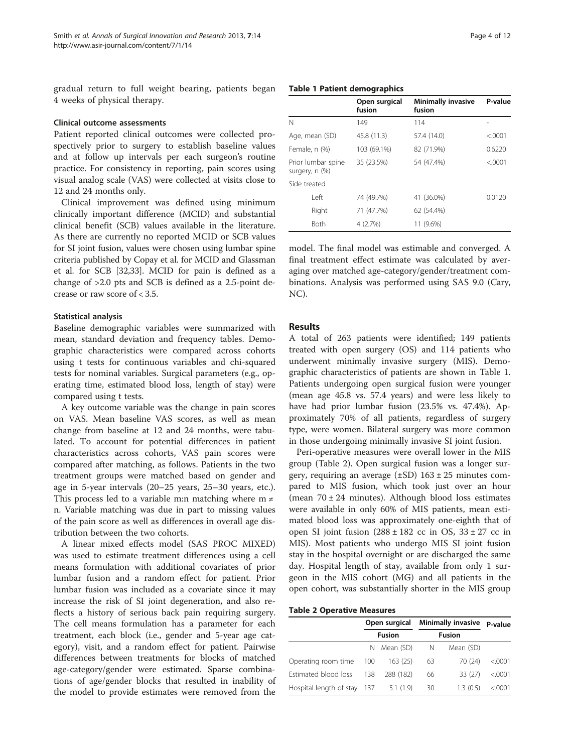gradual return to full weight bearing, patients began 4 weeks of physical therapy.

#### Clinical outcome assessments

Patient reported clinical outcomes were collected prospectively prior to surgery to establish baseline values and at follow up intervals per each surgeon's routine practice. For consistency in reporting, pain scores using visual analog scale (VAS) were collected at visits close to 12 and 24 months only.

Clinical improvement was defined using minimum clinically important difference (MCID) and substantial clinical benefit (SCB) values available in the literature. As there are currently no reported MCID or SCB values for SI joint fusion, values were chosen using lumbar spine criteria published by Copay et al. for MCID and Glassman et al. for SCB [\[32,33\]](#page-11-0). MCID for pain is defined as a change of >2.0 pts and SCB is defined as a 2.5-point decrease or raw score of < 3.5.

## Statistical analysis

Baseline demographic variables were summarized with mean, standard deviation and frequency tables. Demographic characteristics were compared across cohorts using t tests for continuous variables and chi-squared tests for nominal variables. Surgical parameters (e.g., operating time, estimated blood loss, length of stay) were compared using t tests.

A key outcome variable was the change in pain scores on VAS. Mean baseline VAS scores, as well as mean change from baseline at 12 and 24 months, were tabulated. To account for potential differences in patient characteristics across cohorts, VAS pain scores were compared after matching, as follows. Patients in the two treatment groups were matched based on gender and age in 5-year intervals (20–25 years, 25–30 years, etc.). This process led to a variable m:n matching where  $m \neq$ n. Variable matching was due in part to missing values of the pain score as well as differences in overall age distribution between the two cohorts.

A linear mixed effects model (SAS PROC MIXED) was used to estimate treatment differences using a cell means formulation with additional covariates of prior lumbar fusion and a random effect for patient. Prior lumbar fusion was included as a covariate since it may increase the risk of SI joint degeneration, and also reflects a history of serious back pain requiring surgery. The cell means formulation has a parameter for each treatment, each block (i.e., gender and 5-year age category), visit, and a random effect for patient. Pairwise differences between treatments for blocks of matched age-category/gender were estimated. Sparse combinations of age/gender blocks that resulted in inability of the model to provide estimates were removed from the

## Table 1 Patient demographics

|                                      | Open surgical<br>fusion | <b>Minimally invasive</b><br>fusion | P-value |
|--------------------------------------|-------------------------|-------------------------------------|---------|
| N                                    | 149                     | 114                                 |         |
| Age, mean (SD)                       | 45.8 (11.3)             | 57.4 (14.0)                         | < 0.001 |
| Female, n (%)                        | 103 (69.1%)             | 82 (71.9%)                          | 0.6220  |
| Prior lumbar spine<br>surgery, n (%) | 35 (23.5%)              | 54 (47.4%)                          | < 0.001 |
| Side treated                         |                         |                                     |         |
| l eft                                | 74 (49.7%)              | 41 (36.0%)                          | 0.0120  |
| Right                                | 71 (47.7%)              | 62 (54.4%)                          |         |
| <b>Both</b>                          | 4 (2.7%)                | 11 (9.6%)                           |         |

model. The final model was estimable and converged. A final treatment effect estimate was calculated by averaging over matched age-category/gender/treatment combinations. Analysis was performed using SAS 9.0 (Cary, NC).

## Results

A total of 263 patients were identified; 149 patients treated with open surgery (OS) and 114 patients who underwent minimally invasive surgery (MIS). Demographic characteristics of patients are shown in Table 1. Patients undergoing open surgical fusion were younger (mean age 45.8 vs. 57.4 years) and were less likely to have had prior lumbar fusion (23.5% vs. 47.4%). Approximately 70% of all patients, regardless of surgery type, were women. Bilateral surgery was more common in those undergoing minimally invasive SI joint fusion.

Peri-operative measures were overall lower in the MIS group (Table 2). Open surgical fusion was a longer surgery, requiring an average  $(\pm SD)$  163  $\pm$  25 minutes compared to MIS fusion, which took just over an hour (mean  $70 \pm 24$  minutes). Although blood loss estimates were available in only 60% of MIS patients, mean estimated blood loss was approximately one-eighth that of open SI joint fusion  $(288 \pm 182 \text{ cc in OS}, 33 \pm 27 \text{ cc in}$ MIS). Most patients who undergo MIS SI joint fusion stay in the hospital overnight or are discharged the same day. Hospital length of stay, available from only 1 surgeon in the MIS cohort (MG) and all patients in the open cohort, was substantially shorter in the MIS group

Table 2 Operative Measures

|                             |       | Open surgical | <b>Minimally invasive</b> | P-value   |          |
|-----------------------------|-------|---------------|---------------------------|-----------|----------|
|                             |       | <b>Fusion</b> |                           |           |          |
|                             | N     | Mean (SD)     | N                         | Mean (SD) |          |
| Operating room time         | - 100 | 163(25)       | 63                        | 70 (24)   | < 0.0001 |
| Estimated blood loss        | 138   | 288 (182)     | 66                        | 33(27)    | < 0.0001 |
| Hospital length of stay 137 |       | 5.1(1.9)      | 30                        | 1.3(0.5)  | < 0001   |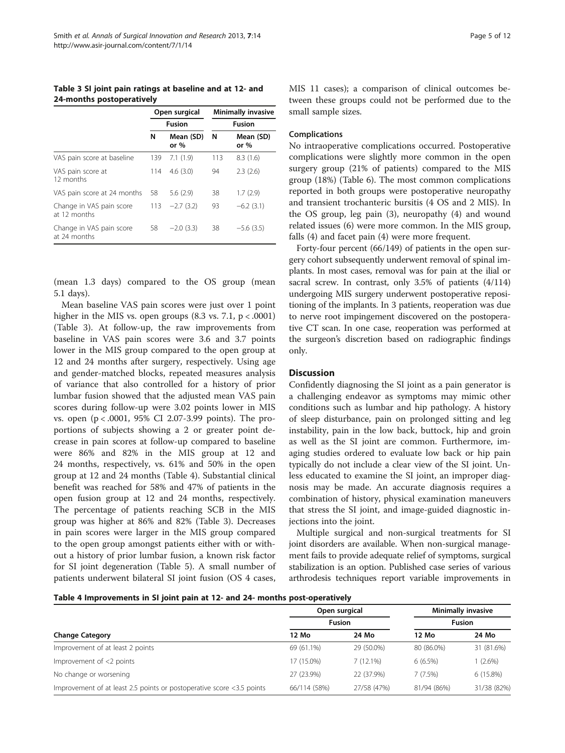Table 3 SI joint pain ratings at baseline and at 12- and 24-months postoperatively

|                                          |     | Open surgical       | <b>Minimally invasive</b><br><b>Fusion</b> |                     |  |
|------------------------------------------|-----|---------------------|--------------------------------------------|---------------------|--|
|                                          |     | <b>Fusion</b>       |                                            |                     |  |
|                                          | N   | Mean (SD)<br>or $%$ | N                                          | Mean (SD)<br>or $%$ |  |
| VAS pain score at baseline               | 139 | 7.1(1.9)            | 113                                        | 8.3(1.6)            |  |
| VAS pain score at<br>12 months           | 114 | 4.6(3.0)            | 94                                         | 2.3(2.6)            |  |
| VAS pain score at 24 months              | 58  | 5.6(2.9)            | 38                                         | 1.7(2.9)            |  |
| Change in VAS pain score<br>at 12 months | 113 | $-2.7(3.2)$         | 93                                         | $-6.2$ (3.1)        |  |
| Change in VAS pain score<br>at 24 months | 58  | $-2.0(3.3)$         | 38                                         | $-5.6(3.5)$         |  |

(mean 1.3 days) compared to the OS group (mean 5.1 days).

Mean baseline VAS pain scores were just over 1 point higher in the MIS vs. open groups  $(8.3 \text{ vs. } 7.1, \text{ p} < .0001)$ (Table 3). At follow-up, the raw improvements from baseline in VAS pain scores were 3.6 and 3.7 points lower in the MIS group compared to the open group at 12 and 24 months after surgery, respectively. Using age and gender-matched blocks, repeated measures analysis of variance that also controlled for a history of prior lumbar fusion showed that the adjusted mean VAS pain scores during follow-up were 3.02 points lower in MIS vs. open (p < .0001, 95% CI 2.07-3.99 points). The proportions of subjects showing a 2 or greater point decrease in pain scores at follow-up compared to baseline were 86% and 82% in the MIS group at 12 and 24 months, respectively, vs. 61% and 50% in the open group at 12 and 24 months (Table 4). Substantial clinical benefit was reached for 58% and 47% of patients in the open fusion group at 12 and 24 months, respectively. The percentage of patients reaching SCB in the MIS group was higher at 86% and 82% (Table 3). Decreases in pain scores were larger in the MIS group compared to the open group amongst patients either with or without a history of prior lumbar fusion, a known risk factor for SI joint degeneration (Table [5\)](#page-5-0). A small number of patients underwent bilateral SI joint fusion (OS 4 cases,

MIS 11 cases); a comparison of clinical outcomes between these groups could not be performed due to the small sample sizes.

#### Complications

No intraoperative complications occurred. Postoperative complications were slightly more common in the open surgery group (21% of patients) compared to the MIS group (18%) (Table [6](#page-5-0)). The most common complications reported in both groups were postoperative neuropathy and transient trochanteric bursitis (4 OS and 2 MIS). In the OS group, leg pain (3), neuropathy (4) and wound related issues (6) were more common. In the MIS group, falls (4) and facet pain (4) were more frequent.

Forty-four percent (66/149) of patients in the open surgery cohort subsequently underwent removal of spinal implants. In most cases, removal was for pain at the ilial or sacral screw. In contrast, only 3.5% of patients (4/114) undergoing MIS surgery underwent postoperative repositioning of the implants. In 3 patients, reoperation was due to nerve root impingement discovered on the postoperative CT scan. In one case, reoperation was performed at the surgeon's discretion based on radiographic findings only.

## **Discussion**

Confidently diagnosing the SI joint as a pain generator is a challenging endeavor as symptoms may mimic other conditions such as lumbar and hip pathology. A history of sleep disturbance, pain on prolonged sitting and leg instability, pain in the low back, buttock, hip and groin as well as the SI joint are common. Furthermore, imaging studies ordered to evaluate low back or hip pain typically do not include a clear view of the SI joint. Unless educated to examine the SI joint, an improper diagnosis may be made. An accurate diagnosis requires a combination of history, physical examination maneuvers that stress the SI joint, and image-guided diagnostic injections into the joint.

Multiple surgical and non-surgical treatments for SI joint disorders are available. When non-surgical management fails to provide adequate relief of symptoms, surgical stabilization is an option. Published case series of various arthrodesis techniques report variable improvements in

Table 4 Improvements in SI joint pain at 12- and 24- months post-operatively

|                                                                       | Open surgical | <b>Minimally invasive</b> |             |               |  |
|-----------------------------------------------------------------------|---------------|---------------------------|-------------|---------------|--|
|                                                                       | <b>Fusion</b> |                           |             | <b>Fusion</b> |  |
| <b>Change Category</b>                                                | 12 Mo         | 24 Mo                     | 12 Mo       | 24 Mo         |  |
| Improvement of at least 2 points                                      | 69 (61.1%)    | 29 (50.0%)                | 80 (86.0%)  | 31 (81.6%)    |  |
| Improvement of <2 points                                              | 17 (15.0%)    | 7(12.1%)                  | 6(6.5%)     | 1 (2.6%)      |  |
| No change or worsening                                                | 27 (23.9%)    | 22 (37.9%)                | 7(7.5%)     | 6 (15.8%)     |  |
| Improvement of at least 2.5 points or postoperative score <3.5 points | 66/114 (58%)  | 27/58 (47%)               | 81/94 (86%) | 31/38 (82%)   |  |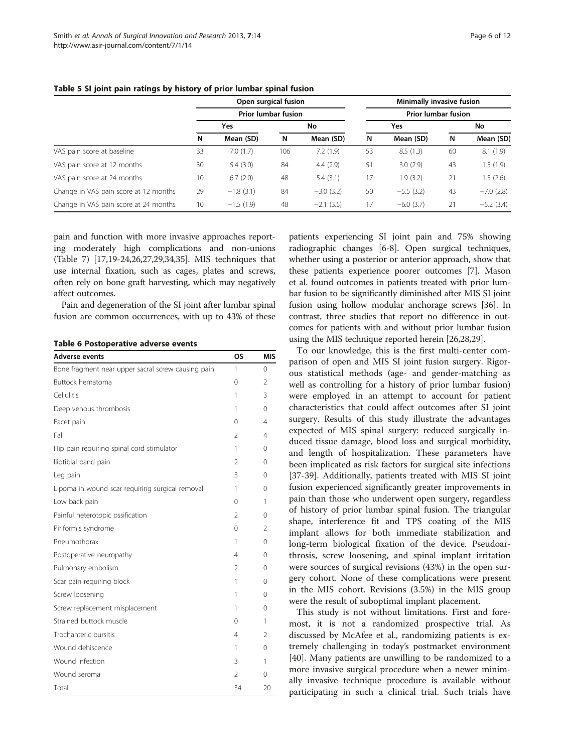|                                       | Open surgical fusion<br><b>Prior lumbar fusion</b> |             |     |             | Minimally invasive fusion<br><b>Prior lumbar fusion</b> |              |    |              |  |
|---------------------------------------|----------------------------------------------------|-------------|-----|-------------|---------------------------------------------------------|--------------|----|--------------|--|
|                                       |                                                    |             |     |             |                                                         |              |    |              |  |
|                                       | Yes                                                |             | No  |             |                                                         | Yes          |    | No           |  |
|                                       | N                                                  | Mean (SD)   | N   | Mean (SD)   | N                                                       | Mean (SD)    | N  | Mean (SD)    |  |
| VAS pain score at baseline            | 33                                                 | 7.0(1.7)    | 106 | 7.2(1.9)    | 53                                                      | 8.5(1.3)     | 60 | 8.1(1.9)     |  |
| VAS pain score at 12 months           | 30                                                 | 5.4(3.0)    | 84  | 4.4(2.9)    | 51                                                      | 3.0(2.9)     | 43 | 1.5(1.9)     |  |
| VAS pain score at 24 months           | 10                                                 | 6.7(2.0)    | 48  | 5.4(3.1)    | 17                                                      | 1.9(3.2)     | 21 | 1.5(2.6)     |  |
| Change in VAS pain score at 12 months | 29                                                 | $-1.8(3.1)$ | 84  | $-3.0(3.2)$ | 50                                                      | $-5.5(3.2)$  | 43 | $-7.0(2.8)$  |  |
| Change in VAS pain score at 24 months | 10                                                 | $-1.5(1.9)$ | 48  | $-2.1(3.5)$ | 17                                                      | $-6.0$ (3.7) | 21 | $-5.2$ (3.4) |  |

## <span id="page-5-0"></span>Table 5 SI joint pain ratings by history of prior lumbar spinal fusion

pain and function with more invasive approaches reporting moderately high complications and non-unions (Table [7](#page-6-0)) [\[17,19](#page-10-0)[-24,26,27,29,34,35\]](#page-11-0). MIS techniques that use internal fixation, such as cages, plates and screws, often rely on bone graft harvesting, which may negatively affect outcomes.

Pain and degeneration of the SI joint after lumbar spinal fusion are common occurrences, with up to 43% of these

|  | <b>Table 6 Postoperative adverse events</b> |  |  |
|--|---------------------------------------------|--|--|
|--|---------------------------------------------|--|--|

| Adverse events                                     | ΟS             | MIS            |
|----------------------------------------------------|----------------|----------------|
| Bone fragment near upper sacral screw causing pain | 1              | $\Omega$       |
| Buttock hematoma                                   | 0              | $\mathcal{P}$  |
| Cellulitis                                         | 1              | 3              |
| Deep venous thrombosis                             | 1              | $\Omega$       |
| Facet pain                                         | 0              | $\overline{4}$ |
| Fall                                               | $\mathfrak{D}$ | 4              |
| Hip pain requiring spinal cord stimulator          | 1              | $\Omega$       |
| Iliotibial band pain                               | $\mathcal{P}$  | $\Omega$       |
| Leg pain                                           | 3              | $\Omega$       |
| Lipoma in wound scar requiring surgical removal    | 1              | 0              |
| Low back pain                                      | 0              | 1              |
| Painful heterotopic ossification                   | $\mathfrak{D}$ | $\Omega$       |
| Piriformis syndrome                                | 0              | 2              |
| Pneumothorax                                       | 1              | $\Omega$       |
| Postoperative neuropathy                           | 4              | $\Omega$       |
| Pulmonary embolism                                 | $\mathfrak{D}$ | $\Omega$       |
| Scar pain requiring block                          | 1              | $\Omega$       |
| Screw loosening                                    | 1              | $\Omega$       |
| Screw replacement misplacement                     | 1              | 0              |
| Strained buttock muscle                            | 0              | 1              |
| Trochanteric bursitis                              | 4              | $\mathfrak{D}$ |
| Wound dehiscence                                   | 1              | $\Omega$       |
| Wound infection                                    | 3              | 1              |
| Wound seroma                                       | 2              | $\Omega$       |
| Total                                              | 34             | 20             |

patients experiencing SI joint pain and 75% showing radiographic changes [[6-8\]](#page-10-0). Open surgical techniques, whether using a posterior or anterior approach, show that these patients experience poorer outcomes [[7](#page-10-0)]. Mason et al. found outcomes in patients treated with prior lumbar fusion to be significantly diminished after MIS SI joint fusion using hollow modular anchorage screws [\[36](#page-11-0)]. In contrast, three studies that report no difference in outcomes for patients with and without prior lumbar fusion using the MIS technique reported herein [[26,28,29\]](#page-11-0).

To our knowledge, this is the first multi-center comparison of open and MIS SI joint fusion surgery. Rigorous statistical methods (age- and gender-matching as well as controlling for a history of prior lumbar fusion) were employed in an attempt to account for patient characteristics that could affect outcomes after SI joint surgery. Results of this study illustrate the advantages expected of MIS spinal surgery: reduced surgically induced tissue damage, blood loss and surgical morbidity, and length of hospitalization. These parameters have been implicated as risk factors for surgical site infections [[37-39](#page-11-0)]. Additionally, patients treated with MIS SI joint fusion experienced significantly greater improvements in pain than those who underwent open surgery, regardless of history of prior lumbar spinal fusion. The triangular shape, interference fit and TPS coating of the MIS implant allows for both immediate stabilization and long-term biological fixation of the device. Pseudoarthrosis, screw loosening, and spinal implant irritation were sources of surgical revisions (43%) in the open surgery cohort. None of these complications were present in the MIS cohort. Revisions (3.5%) in the MIS group were the result of suboptimal implant placement.

This study is not without limitations. First and foremost, it is not a randomized prospective trial. As discussed by McAfee et al., randomizing patients is extremely challenging in today's postmarket environment [[40\]](#page-11-0). Many patients are unwilling to be randomized to a more invasive surgical procedure when a newer minimally invasive technique procedure is available without participating in such a clinical trial. Such trials have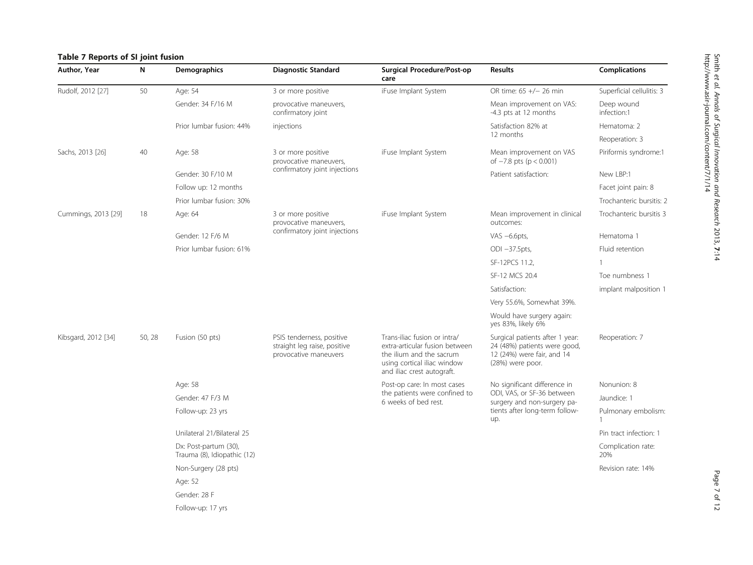## <span id="page-6-0"></span>Table 7 Reports of SI joint fusion

| Author, Year        | N      | <b>Demographics</b>                                  | <b>Diagnostic Standard</b>                                                         | <b>Surgical Procedure/Post-op</b><br>care                                                                                                               | <b>Results</b>                                                                                                    | <b>Complications</b>      |
|---------------------|--------|------------------------------------------------------|------------------------------------------------------------------------------------|---------------------------------------------------------------------------------------------------------------------------------------------------------|-------------------------------------------------------------------------------------------------------------------|---------------------------|
| Rudolf, 2012 [27]   | 50     | Age: 54                                              | 3 or more positive                                                                 | iFuse Implant System                                                                                                                                    | OR time: 65 +/- 26 min                                                                                            | Superficial cellulitis: 3 |
|                     |        | Gender: 34 F/16 M                                    | provocative maneuvers,<br>confirmatory joint                                       |                                                                                                                                                         | Mean improvement on VAS:<br>-4.3 pts at 12 months                                                                 | Deep wound<br>infection:1 |
|                     |        | Prior lumbar fusion: 44%                             | injections                                                                         |                                                                                                                                                         | Satisfaction 82% at                                                                                               | Hematoma: 2               |
|                     |        |                                                      |                                                                                    |                                                                                                                                                         | 12 months                                                                                                         | Reoperation: 3            |
| Sachs, 2013 [26]    | 40     | Age: 58                                              | 3 or more positive<br>provocative maneuvers,                                       | iFuse Implant System                                                                                                                                    | Mean improvement on VAS<br>of $-7.8$ pts (p < 0.001)                                                              | Piriformis syndrome:1     |
|                     |        | Gender: 30 F/10 M                                    | confirmatory joint injections                                                      |                                                                                                                                                         | Patient satisfaction:                                                                                             | New LBP:1                 |
|                     |        | Follow up: 12 months                                 |                                                                                    |                                                                                                                                                         |                                                                                                                   | Facet joint pain: 8       |
|                     |        | Prior lumbar fusion: 30%                             |                                                                                    |                                                                                                                                                         |                                                                                                                   | Trochanteric bursitis: 2  |
| Cummings, 2013 [29] | 18     | Age: 64                                              | 3 or more positive<br>provocative maneuvers,                                       | iFuse Implant System                                                                                                                                    | Mean improvement in clinical<br>outcomes:                                                                         | Trochanteric bursitis 3   |
|                     |        | Gender: 12 F/6 M                                     | confirmatory joint injections                                                      |                                                                                                                                                         | VAS $-6.6$ pts,                                                                                                   | Hematoma 1                |
|                     |        | Prior lumbar fusion: 61%                             |                                                                                    |                                                                                                                                                         | $ODI -37.5pts,$                                                                                                   | Fluid retention           |
|                     |        |                                                      |                                                                                    |                                                                                                                                                         | SF-12PCS 11.2,                                                                                                    |                           |
|                     |        |                                                      |                                                                                    |                                                                                                                                                         | SF-12 MCS 20.4                                                                                                    | Toe numbness 1            |
|                     |        |                                                      |                                                                                    |                                                                                                                                                         | Satisfaction:                                                                                                     | implant malposition 1     |
|                     |        |                                                      |                                                                                    |                                                                                                                                                         | Very 55.6%, Somewhat 39%.                                                                                         |                           |
|                     |        |                                                      |                                                                                    |                                                                                                                                                         | Would have surgery again:<br>yes 83%, likely 6%                                                                   |                           |
| Kibsgard, 2012 [34] | 50, 28 | Fusion (50 pts)                                      | PSIS tenderness, positive<br>straight leg raise, positive<br>provocative maneuvers | Trans-iliac fusion or intra/<br>extra-articular fusion between<br>the ilium and the sacrum<br>using cortical iliac window<br>and iliac crest autograft. | Surgical patients after 1 year:<br>24 (48%) patients were good,<br>12 (24%) were fair, and 14<br>(28%) were poor. | Reoperation: 7            |
|                     |        | Age: 58                                              |                                                                                    | Post-op care: In most cases                                                                                                                             | No significant difference in                                                                                      | Nonunion: 8               |
|                     |        | Gender: 47 F/3 M                                     |                                                                                    | the patients were confined to<br>6 weeks of bed rest.                                                                                                   | ODI, VAS, or SF-36 between<br>surgery and non-surgery pa-                                                         | Jaundice: 1               |
|                     |        | Follow-up: 23 yrs                                    |                                                                                    |                                                                                                                                                         | tients after long-term follow-<br>up.                                                                             | Pulmonary embolism:       |
|                     |        | Unilateral 21/Bilateral 25                           |                                                                                    |                                                                                                                                                         |                                                                                                                   | Pin tract infection: 1    |
|                     |        | Dx: Post-partum (30),<br>Trauma (8), Idiopathic (12) |                                                                                    |                                                                                                                                                         |                                                                                                                   | Complication rate:<br>20% |
|                     |        | Non-Surgery (28 pts)                                 |                                                                                    |                                                                                                                                                         |                                                                                                                   | Revision rate: 14%        |
|                     |        | Age: 52                                              |                                                                                    |                                                                                                                                                         |                                                                                                                   |                           |
|                     |        | Gender: 28 F                                         |                                                                                    |                                                                                                                                                         |                                                                                                                   |                           |
|                     |        | Follow-up: 17 yrs                                    |                                                                                    |                                                                                                                                                         |                                                                                                                   |                           |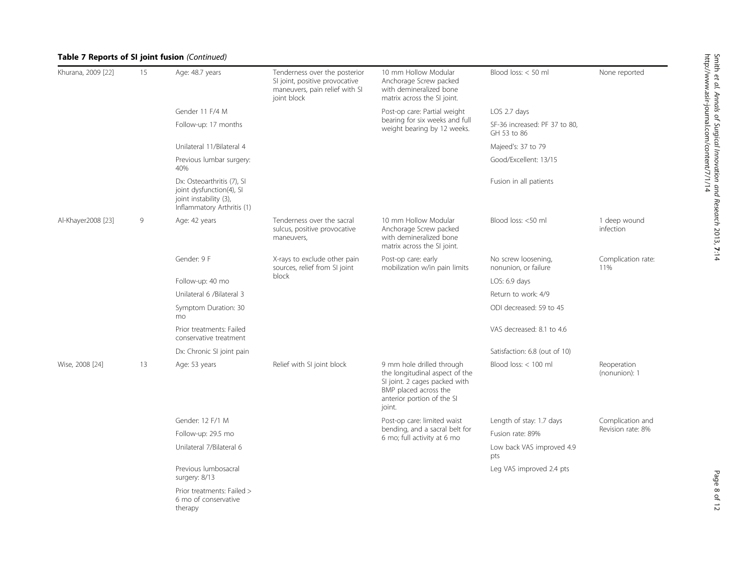## Table 7 Reports of SI joint fusion (Continued)

| Khurana, 2009 [22] | 15 | Age: 48.7 years                                                                                                | Tenderness over the posterior<br>SI joint, positive provocative<br>maneuvers, pain relief with SI<br>joint block | 10 mm Hollow Modular<br>Anchorage Screw packed<br>with demineralized bone<br>matrix across the SI joint.                                                      | Blood loss: < 50 ml                          | None reported                |
|--------------------|----|----------------------------------------------------------------------------------------------------------------|------------------------------------------------------------------------------------------------------------------|---------------------------------------------------------------------------------------------------------------------------------------------------------------|----------------------------------------------|------------------------------|
|                    |    | Gender 11 F/4 M                                                                                                |                                                                                                                  | Post-op care: Partial weight                                                                                                                                  | LOS 2.7 days                                 |                              |
|                    |    | Follow-up: 17 months                                                                                           |                                                                                                                  | bearing for six weeks and full<br>weight bearing by 12 weeks.                                                                                                 | SF-36 increased: PF 37 to 80,<br>GH 53 to 86 |                              |
|                    |    | Unilateral 11/Bilateral 4                                                                                      |                                                                                                                  |                                                                                                                                                               | Majeed's: 37 to 79                           |                              |
|                    |    | Previous lumbar surgery:<br>40%                                                                                |                                                                                                                  |                                                                                                                                                               | Good/Excellent: 13/15                        |                              |
|                    |    | Dx: Osteoarthritis (7), SI<br>joint dysfunction(4), SI<br>joint instability (3),<br>Inflammatory Arthritis (1) |                                                                                                                  |                                                                                                                                                               | Fusion in all patients                       |                              |
| Al-Khayer2008 [23] | 9  | Age: 42 years                                                                                                  | Tenderness over the sacral<br>sulcus, positive provocative<br>maneuvers,                                         | 10 mm Hollow Modular<br>Anchorage Screw packed<br>with demineralized bone<br>matrix across the SI joint.                                                      | Blood loss: <50 ml                           | 1 deep wound<br>infection    |
|                    |    | Gender: 9 F                                                                                                    | X-rays to exclude other pain<br>sources, relief from SI joint<br>block                                           | Post-op care: early<br>mobilization w/in pain limits                                                                                                          | No screw loosening,<br>nonunion, or failure  | Complication rate:<br>11%    |
|                    |    | Follow-up: 40 mo                                                                                               |                                                                                                                  |                                                                                                                                                               | LOS: 6.9 days                                |                              |
|                    |    | Unilateral 6 /Bilateral 3                                                                                      |                                                                                                                  |                                                                                                                                                               | Return to work: 4/9                          |                              |
|                    |    | Symptom Duration: 30<br>mo                                                                                     |                                                                                                                  |                                                                                                                                                               | ODI decreased: 59 to 45                      |                              |
|                    |    | Prior treatments: Failed<br>conservative treatment                                                             |                                                                                                                  |                                                                                                                                                               | VAS decreased: 8.1 to 4.6                    |                              |
|                    |    | Dx: Chronic SI joint pain                                                                                      |                                                                                                                  |                                                                                                                                                               | Satisfaction: 6.8 (out of 10)                |                              |
| Wise, 2008 [24]    | 13 | Age: 53 years                                                                                                  | Relief with SI joint block                                                                                       | 9 mm hole drilled through<br>the longitudinal aspect of the<br>SI joint. 2 cages packed with<br>BMP placed across the<br>anterior portion of the SI<br>joint. | Blood loss: < 100 ml                         | Reoperation<br>(nonunion): 1 |
|                    |    | Gender: 12 F/1 M                                                                                               |                                                                                                                  | Post-op care: limited waist                                                                                                                                   | Length of stay: 1.7 days                     | Complication and             |
|                    |    | Follow-up: 29.5 mo                                                                                             |                                                                                                                  | bending, and a sacral belt for<br>6 mo; full activity at 6 mo                                                                                                 | Fusion rate: 89%                             | Revision rate: 8%            |
|                    |    | Unilateral 7/Bilateral 6                                                                                       |                                                                                                                  |                                                                                                                                                               | Low back VAS improved 4.9<br>pts             |                              |
|                    |    | Previous lumbosacral<br>surgery: 8/13                                                                          |                                                                                                                  |                                                                                                                                                               | Leg VAS improved 2.4 pts                     |                              |
|                    |    | Prior treatments: Failed ><br>6 mo of conservative<br>therapy                                                  |                                                                                                                  |                                                                                                                                                               |                                              |                              |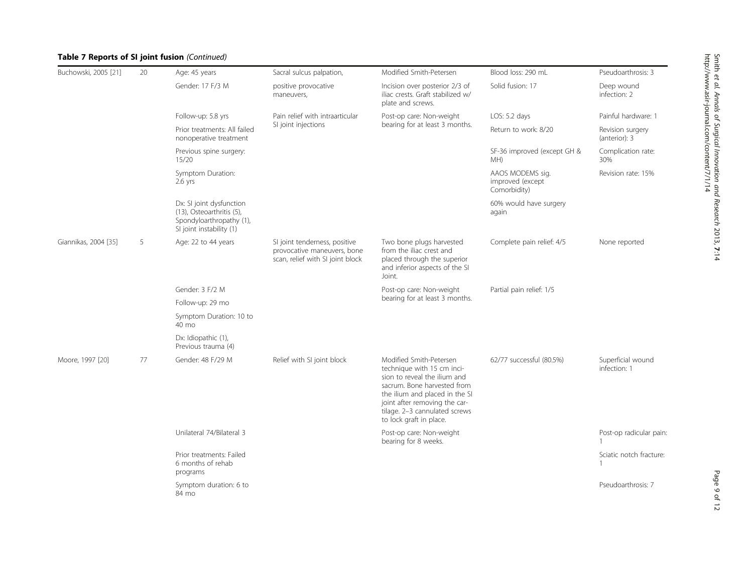## Table 7 Reports of SI joint fusion (Continued)

| Buchowski, 2005 [21] | 20 | Age: 45 years                                                                                                 | Sacral sulcus palpation,                                                                         | Modified Smith-Petersen                                                                                                                                                                                                                             | Blood loss: 290 mL                                   | Pseudoarthrosis: 3                      |
|----------------------|----|---------------------------------------------------------------------------------------------------------------|--------------------------------------------------------------------------------------------------|-----------------------------------------------------------------------------------------------------------------------------------------------------------------------------------------------------------------------------------------------------|------------------------------------------------------|-----------------------------------------|
|                      |    | Gender: 17 F/3 M                                                                                              | positive provocative<br>maneuvers,                                                               | Incision over posterior 2/3 of<br>iliac crests. Graft stabilized w/<br>plate and screws.                                                                                                                                                            | Solid fusion: 17                                     | Deep wound<br>infection: 2              |
|                      |    | Follow-up: 5.8 yrs                                                                                            | Pain relief with intraarticular                                                                  | Post-op care: Non-weight                                                                                                                                                                                                                            | LOS: 5.2 days                                        | Painful hardware: 1                     |
|                      |    | Prior treatments: All failed<br>nonoperative treatment                                                        | SI joint injections                                                                              | bearing for at least 3 months.                                                                                                                                                                                                                      | Return to work: 8/20                                 | Revision surgery<br>(anterior): 3       |
|                      |    | Previous spine surgery:<br>15/20                                                                              |                                                                                                  |                                                                                                                                                                                                                                                     | SF-36 improved (except GH &<br>MH)                   | Complication rate:<br>30%               |
|                      |    | Symptom Duration:<br>$2.6$ yrs                                                                                |                                                                                                  |                                                                                                                                                                                                                                                     | AAOS MODEMS sig.<br>improved (except<br>Comorbidity) | Revision rate: 15%                      |
|                      |    | Dx: SI joint dysfunction<br>(13), Osteoarthritis (5),<br>Spondyloarthropathy (1),<br>SI joint instability (1) |                                                                                                  |                                                                                                                                                                                                                                                     | 60% would have surgery<br>again                      |                                         |
| Giannikas, 2004 [35] | 5  | Age: 22 to 44 years                                                                                           | SI joint tenderness, positive<br>provocative maneuvers, bone<br>scan, relief with SI joint block | Two bone plugs harvested<br>from the iliac crest and<br>placed through the superior<br>and inferior aspects of the SI<br>Joint.                                                                                                                     | Complete pain relief: 4/5                            | None reported                           |
|                      |    | Gender: 3 F/2 M                                                                                               |                                                                                                  | Post-op care: Non-weight<br>bearing for at least 3 months.                                                                                                                                                                                          | Partial pain relief: 1/5                             |                                         |
|                      |    | Follow-up: 29 mo                                                                                              |                                                                                                  |                                                                                                                                                                                                                                                     |                                                      |                                         |
|                      |    | Symptom Duration: 10 to<br>40 mo                                                                              |                                                                                                  |                                                                                                                                                                                                                                                     |                                                      |                                         |
|                      |    | Dx: Idiopathic (1),<br>Previous trauma (4)                                                                    |                                                                                                  |                                                                                                                                                                                                                                                     |                                                      |                                         |
| Moore, 1997 [20]     | 77 | Gender: 48 F/29 M                                                                                             | Relief with SI joint block                                                                       | Modified Smith-Petersen<br>technique with 15 cm inci-<br>sion to reveal the ilium and<br>sacrum. Bone harvested from<br>the ilium and placed in the SI<br>joint after removing the car-<br>tilage. 2-3 cannulated screws<br>to lock graft in place. | 62/77 successful (80.5%)                             | Superficial wound<br>infection: 1       |
|                      |    | Unilateral 74/Bilateral 3                                                                                     |                                                                                                  | Post-op care: Non-weight<br>bearing for 8 weeks.                                                                                                                                                                                                    |                                                      | Post-op radicular pain:                 |
|                      |    | Prior treatments: Failed<br>6 months of rehab<br>programs                                                     |                                                                                                  |                                                                                                                                                                                                                                                     |                                                      | Sciatic notch fracture:<br>$\mathbf{1}$ |
|                      |    | Symptom duration: 6 to<br>84 mo                                                                               |                                                                                                  |                                                                                                                                                                                                                                                     |                                                      | Pseudoarthrosis: 7                      |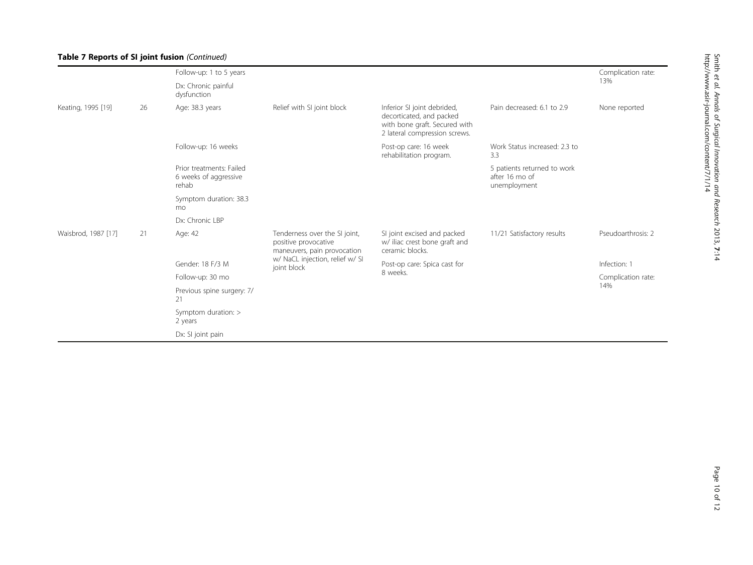## Table 7 Reports of SI joint fusion (Continued)

|                     |    | Follow-up: 1 to 5 years                                    |                                                                                      |                                                                                                                           |                                                               | Complication rate: |
|---------------------|----|------------------------------------------------------------|--------------------------------------------------------------------------------------|---------------------------------------------------------------------------------------------------------------------------|---------------------------------------------------------------|--------------------|
|                     |    | Dx: Chronic painful<br>dysfunction                         |                                                                                      |                                                                                                                           |                                                               | 13%                |
| Keating, 1995 [19]  | 26 | Age: 38.3 years                                            | Relief with SI joint block                                                           | Inferior SI joint debrided,<br>decorticated, and packed<br>with bone graft. Secured with<br>2 lateral compression screws. | Pain decreased: 6.1 to 2.9                                    | None reported      |
|                     |    | Follow-up: 16 weeks                                        |                                                                                      | Post-op care: 16 week<br>rehabilitation program.                                                                          | Work Status increased: 2.3 to<br>3.3                          |                    |
|                     |    | Prior treatments: Failed<br>6 weeks of aggressive<br>rehab |                                                                                      |                                                                                                                           | 5 patients returned to work<br>after 16 mo of<br>unemployment |                    |
|                     |    | Symptom duration: 38.3<br>mo                               |                                                                                      |                                                                                                                           |                                                               |                    |
|                     |    | Dx: Chronic LBP                                            |                                                                                      |                                                                                                                           |                                                               |                    |
| Waisbrod, 1987 [17] | 21 | Age: 42                                                    | Tenderness over the SI joint,<br>positive provocative<br>maneuvers, pain provocation | SI joint excised and packed<br>w/ iliac crest bone graft and<br>ceramic blocks.                                           | 11/21 Satisfactory results                                    | Pseudoarthrosis: 2 |
|                     |    | Gender: 18 F/3 M                                           | w/ NaCL injection, relief w/ SI<br>joint block                                       | Post-op care: Spica cast for<br>8 weeks.                                                                                  |                                                               | Infection: 1       |
|                     |    | Follow-up: 30 mo                                           |                                                                                      |                                                                                                                           |                                                               | Complication rate: |
|                     |    | Previous spine surgery: 7/<br>21                           |                                                                                      |                                                                                                                           |                                                               | 14%                |
|                     |    | Symptom duration: ><br>2 years                             |                                                                                      |                                                                                                                           |                                                               |                    |
|                     |    | Dx: SI joint pain                                          |                                                                                      |                                                                                                                           |                                                               |                    |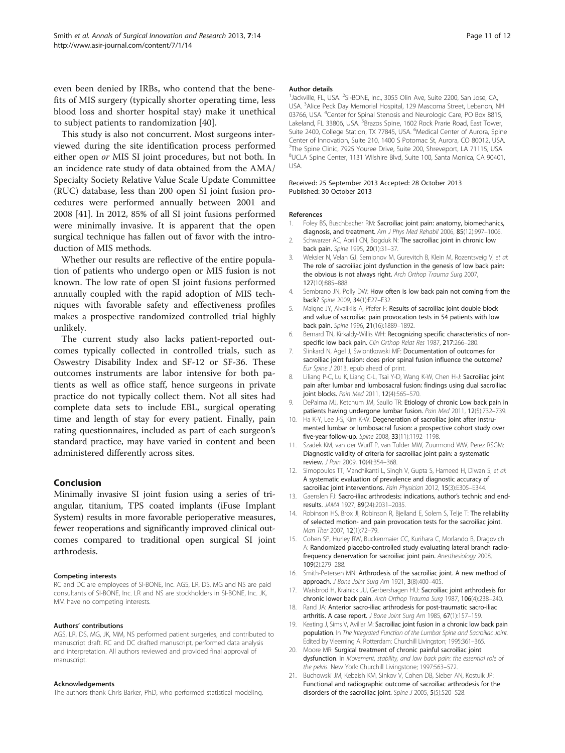<span id="page-10-0"></span>even been denied by IRBs, who contend that the benefits of MIS surgery (typically shorter operating time, less blood loss and shorter hospital stay) make it unethical to subject patients to randomization [\[40](#page-11-0)].

This study is also not concurrent. Most surgeons interviewed during the site identification process performed either open or MIS SI joint procedures, but not both. In an incidence rate study of data obtained from the AMA/ Specialty Society Relative Value Scale Update Committee (RUC) database, less than 200 open SI joint fusion procedures were performed annually between 2001 and 2008 [[41\]](#page-11-0). In 2012, 85% of all SI joint fusions performed were minimally invasive. It is apparent that the open surgical technique has fallen out of favor with the introduction of MIS methods.

Whether our results are reflective of the entire population of patients who undergo open or MIS fusion is not known. The low rate of open SI joint fusions performed annually coupled with the rapid adoption of MIS techniques with favorable safety and effectiveness profiles makes a prospective randomized controlled trial highly unlikely.

The current study also lacks patient-reported outcomes typically collected in controlled trials, such as Oswestry Disability Index and SF-12 or SF-36. These outcomes instruments are labor intensive for both patients as well as office staff, hence surgeons in private practice do not typically collect them. Not all sites had complete data sets to include EBL, surgical operating time and length of stay for every patient. Finally, pain rating questionnaires, included as part of each surgeon's standard practice, may have varied in content and been administered differently across sites.

## Conclusion

Minimally invasive SI joint fusion using a series of triangular, titanium, TPS coated implants (iFuse Implant System) results in more favorable perioperative measures, fewer reoperations and significantly improved clinical outcomes compared to traditional open surgical SI joint arthrodesis.

#### Competing interests

RC and DC are employees of SI-BONE, Inc. AGS, LR, DS, MG and NS are paid consultants of SI-BONE, Inc. LR and NS are stockholders in SI-BONE, Inc. JK, MM have no competing interests.

#### Authors' contributions

AGS, LR, DS, MG, JK, MM, NS performed patient surgeries, and contributed to manuscript draft. RC and DC drafted manuscript, performed data analysis and interpretation. All authors reviewed and provided final approval of manuscript.

#### Acknowledgements

The authors thank Chris Barker, PhD, who performed statistical modeling.

#### Author details

<sup>1</sup> Jackville, FL, USA. <sup>2</sup>SI-BONE, Inc., 3055 Olin Ave, Suite 2200, San Jose, CA, USA. <sup>3</sup> Alice Peck Day Memorial Hospital, 129 Mascoma Street, Lebanon, NH 03766, USA. <sup>4</sup>Center for Spinal Stenosis and Neurologic Care, PO Box 8815, Lakeland, FL 33806, USA. <sup>5</sup>Brazos Spine, 1602 Rock Prarie Road, East Tower Suite 2400, College Station, TX 77845, USA. <sup>6</sup>Medical Center of Aurora, Spine Center of Innovation, Suite 210, 1400 S Potomac St, Aurora, CO 80012, USA. <sup>7</sup>The Spine Clinic, 7925 Youree Drive, Suite 200, Shreveport, LA 71115, USA 8 UCLA Spine Center, 1131 Wilshire Blvd, Suite 100, Santa Monica, CA 90401, USA.

#### Received: 25 September 2013 Accepted: 28 October 2013 Published: 30 October 2013

#### References

- 1. Foley BS, Buschbacher RM: Sacroiliac joint pain: anatomy, biomechanics, diagnosis, and treatment. Am J Phys Med Rehabil 2006, 85(12):997–1006.
- 2. Schwarzer AC, Aprill CN, Bogduk N: The sacroiliac joint in chronic low back pain. Spine 1995, 20(1):31–37.
- 3. Weksler N, Velan GJ, Semionov M, Gurevitch B, Klein M, Rozentsveig V, et al: The role of sacroiliac joint dysfunction in the genesis of low back pain: the obvious is not always right. Arch Orthop Trauma Surg 2007, 127(10):885–888.
- 4. Sembrano JN, Polly DW: How often is low back pain not coming from the back? Spine 2009, 34(1):E27–E32.
- 5. Maigne JY, Aivaliklis A, Pfefer F: Results of sacroiliac joint double block and value of sacroiliac pain provocation tests in 54 patients with low back pain. Spine 1996, 21(16):1889–1892.
- 6. Bernard TN, Kirkaldy-Willis WH: Recognizing specific characteristics of nonspecific low back pain. Clin Orthop Relat Res 1987, 217:266–280.
- 7. Slinkard N, Agel J, Swiontkowski MF: Documentation of outcomes for sacroiliac joint fusion: does prior spinal fusion influence the outcome? Eur Spine J 2013. epub ahead of print.
- Liliang P-C, Lu K, Liang C-L, Tsai Y-D, Wang K-W, Chen H-J: Sacroiliac joint pain after lumbar and lumbosacral fusion: findings using dual sacroiliac joint blocks. Pain Med 2011, 12(4):565-570.
- 9. DePalma MJ, Ketchum JM, Saullo TR: Etiology of chronic Low back pain in patients having undergone lumbar fusion. Pain Med 2011, 12(5):732-739.
- 10. Ha K-Y, Lee J-S, Kim K-W: Degeneration of sacroiliac joint after instrumented lumbar or lumbosacral fusion: a prospective cohort study over five-year follow-up. Spine 2008, 33(11):1192–1198.
- 11. Szadek KM, van der Wurff P, van Tulder MW, Zuurmond WW, Perez RSGM: Diagnostic validity of criteria for sacroiliac joint pain: a systematic review. J Pain 2009, 10(4):354–368.
- 12. Simopoulos TT, Manchikanti L, Singh V, Gupta S, Hameed H, Diwan S, et al: A systematic evaluation of prevalence and diagnostic accuracy of sacroiliac joint interventions. Pain Physician 2012, 15(3):E305–E344.
- 13. Gaenslen FJ: Sacro-iliac arthrodesis: indications, author's technic and endresults. JAMA 1927, 89(24):2031–2035.
- 14. Robinson HS, Brox JI, Robinson R, Bjelland E, Solem S, Telje T: The reliability of selected motion- and pain provocation tests for the sacroiliac joint. Man Ther 2007, 12(1):72–79.
- 15. Cohen SP, Hurley RW, Buckenmaier CC, Kurihara C, Morlando B, Dragovich A: Randomized placebo-controlled study evaluating lateral branch radiofrequency denervation for sacroiliac joint pain. Anesthesiology 2008, 109(2):279–288.
- 16. Smith-Petersen MN: Arthrodesis of the sacroiliac joint. A new method of approach. J Bone Joint Surg Am 1921, 3(8):400-405.
- 17. Waisbrod H, Krainick JU, Gerbershagen HU: Sacroiliac joint arthrodesis for chronic lower back pain. Arch Orthop Trauma Surg 1987, 106(4):238–240.
- 18. Rand JA: Anterior sacro-iliac arthrodesis for post-traumatic sacro-iliac arthritis. A case report. J Bone Joint Surg Am 1985, 67(1):157–159.
- 19. Keating J, Sims V, Avillar M: Sacroiliac joint fusion in a chronic low back pain population. In The Integrated Function of the Lumbar Spine and Sacroiliac Joint. Edited by Vleeming A. Rotterdam: Churchill Livingston; 1995:361–365.
- 20. Moore MR: Surgical treatment of chronic painful sacroiliac joint dysfunction. In Movement, stability, and low back pain: the essential role of the pelvis. New York: Churchill Livingstone; 1997:563–572.
- 21. Buchowski JM, Kebaish KM, Sinkov V, Cohen DB, Sieber AN, Kostuik JP: Functional and radiographic outcome of sacroiliac arthrodesis for the disorders of the sacroiliac joint. Spine J 2005, 5(5):520-528.